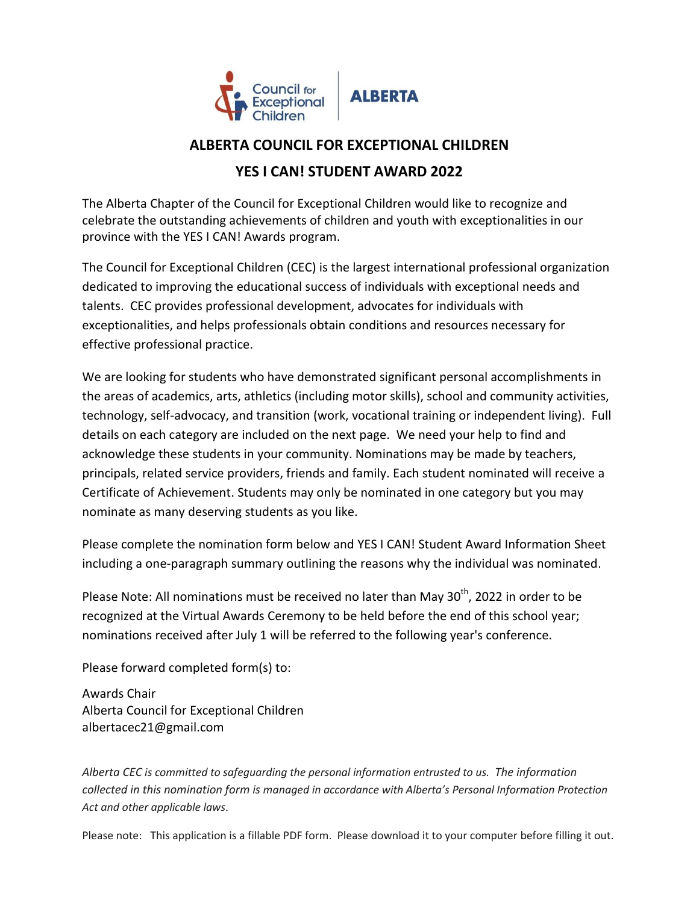

## **ALBERTA COUNCIL FOR EXCEPTIONAL CHILDREN YES I CAN! STUDENT AWARD 2022**

The Alberta Chapter of the Council for Exceptional Children would like to recognize and celebrate the outstanding achievements of children and youth with exceptionalities in our province with the YES I CAN! Awards program.

The Council for Exceptional Children (CEC) is the largest international professional organization dedicated to improving the educational success of individuals with exceptional needs and talents. CEC provides professional development, advocates for individuals with exceptionalities, and helps professionals obtain conditions and resources necessary for effective professional practice.

We are looking for students who have demonstrated significant personal accomplishments in the areas of academics, arts, athletics (including motor skills), school and community activities, technology, self-advocacy, and transition (work, vocational training or independent living). Full details on each category are included on the next page. We need your help to find and acknowledge these students in your community. Nominations may be made by teachers, principals, related service providers, friends and family. Each student nominated will receive a Certificate of Achievement. Students may only be nominated in one category but you may nominate as many deserving students as you like.

Please complete the nomination form below and YES I CAN! Student Award Information Sheet including a one-paragraph summary outlining the reasons why the individual was nominated.

Please Note: All nominations must be received no later than May 30<sup>th</sup>, 2022 in order to be recognized at the Virtual Awards Ceremony to be held before the end of this school year; nominations received after July 1 will be referred to the following year's conference.

Please forward completed form(s) to:

Awards Chair Alberta Council for Exceptional Children albertacec21@gmail.com

*Alberta CEC is committed to safeguarding the personal information entrusted to us. The information collected in this nomination form is managed in accordance with Alberta's Personal Information Protection Act and other applicable laws*.

Please note: This application is a fillable PDF form. Please download it to your computer before filling it out.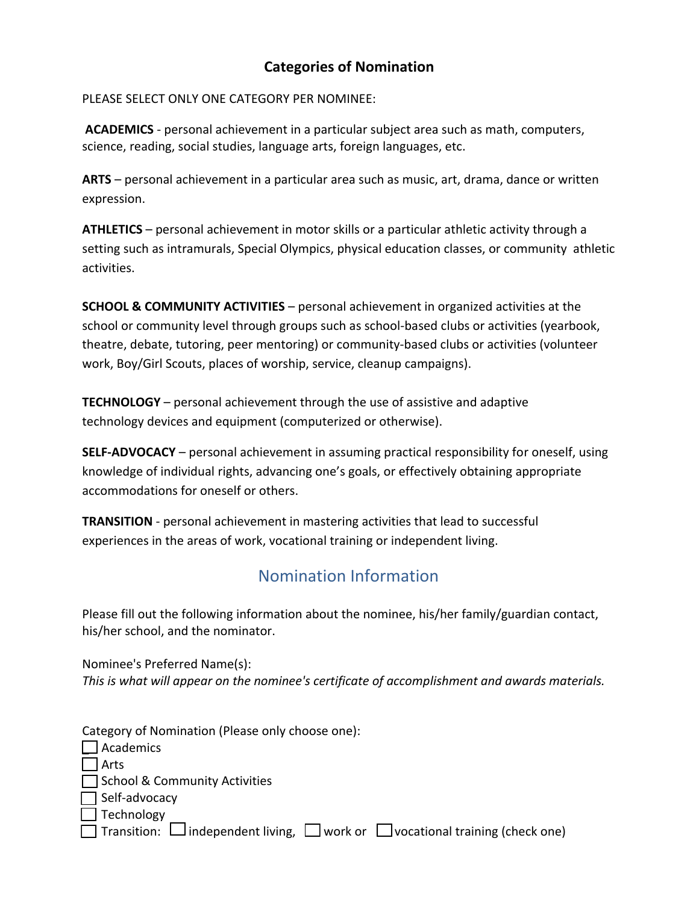## **Categories of Nomination**

PLEASE SELECT ONLY ONE CATEGORY PER NOMINEE:

**ACADEMICS** ‐ personal achievement in a particular subject area such as math, computers, science, reading, social studies, language arts, foreign languages, etc.

**ARTS** – personal achievement in a particular area such as music, art, drama, dance or written expression.

**ATHLETICS** – personal achievement in motor skills or a particular athletic activity through a setting such as intramurals, Special Olympics, physical education classes, or community athletic activities.

**SCHOOL & COMMUNITY ACTIVITIES** – personal achievement in organized activities at the school or community level through groups such as school‐based clubs or activities (yearbook, theatre, debate, tutoring, peer mentoring) or community‐based clubs or activities (volunteer work, Boy/Girl Scouts, places of worship, service, cleanup campaigns).

**TECHNOLOGY** – personal achievement through the use of assistive and adaptive technology devices and equipment (computerized or otherwise).

**SELF‐ADVOCACY** – personal achievement in assuming practical responsibility for oneself, using knowledge of individual rights, advancing one's goals, or effectively obtaining appropriate accommodations for oneself or others.

**TRANSITION** ‐ personal achievement in mastering activities that lead to successful experiences in the areas of work, vocational training or independent living.

## Nomination Information

Please fill out the following information about the nominee, his/her family/guardian contact, his/her school, and the nominator.

Nominee's Preferred Name(s): *This is what will appear on the nominee's certificate of accomplishment and awards materials.* 

Category of Nomination (Please only choose one):

| $\Box$ Academics                                                                                    |
|-----------------------------------------------------------------------------------------------------|
| $\Box$ Arts                                                                                         |
| □ School & Community Activities                                                                     |
| $\Box$ Self-advocacy                                                                                |
| $\Box$ Technology                                                                                   |
| $\Box$ Transition: $\Box$ independent living, $\Box$ work or $\Box$ vocational training (check one) |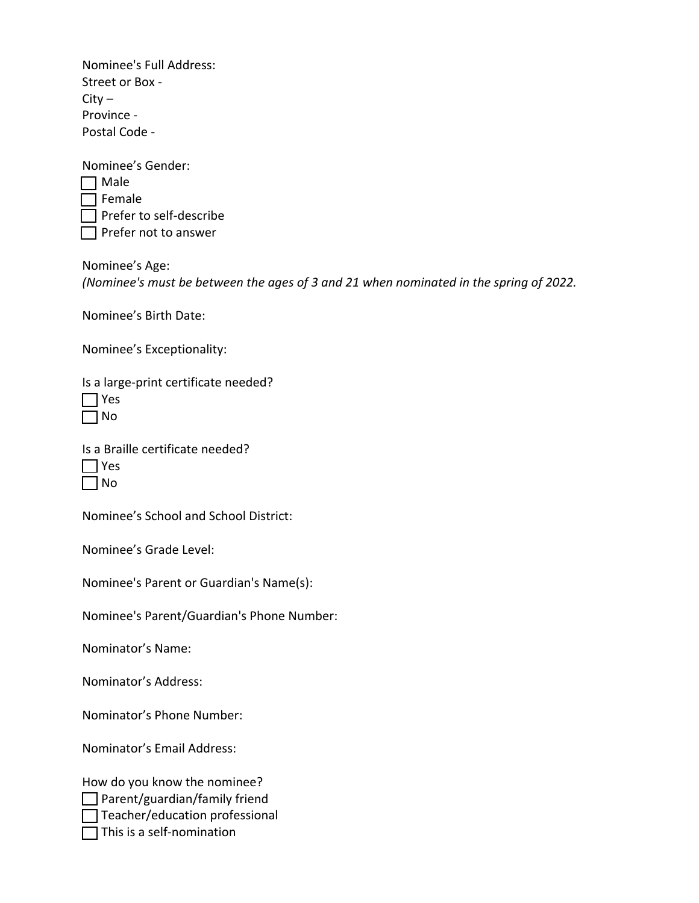Nominee's Full Address: Street or Box ‐  $City -$ Province ‐ Postal Code ‐

| Nominee's Gender: |                         |  |  |
|-------------------|-------------------------|--|--|
|                   | Male                    |  |  |
|                   | T Female                |  |  |
|                   | Prefer to self-describe |  |  |
|                   | Prefer not to answer    |  |  |

Nominee's Age: *(Nominee's must be between the ages of 3 and 21 when nominated in the spring of 2022.*

Nominee's Birth Date:

Nominee's Exceptionality:

Is a large‐print certificate needed?

|  |  |  | Is a Braille certificate needed? |  |
|--|--|--|----------------------------------|--|
|--|--|--|----------------------------------|--|

| N<br>٦ |
|--------|

Nominee's School and School District:

Nominee's Grade Level:

Nominee's Parent or Guardian's Name(s):

Nominee's Parent/Guardian's Phone Number:

Nominator's Name:

Nominator's Address:

Nominator's Phone Number:

Nominator's Email Address:

How do you know the nominee?  $\Box$  Parent/guardian/family friend

 $\Box$  Teacher/education professional

 $\Box$  This is a self-nomination